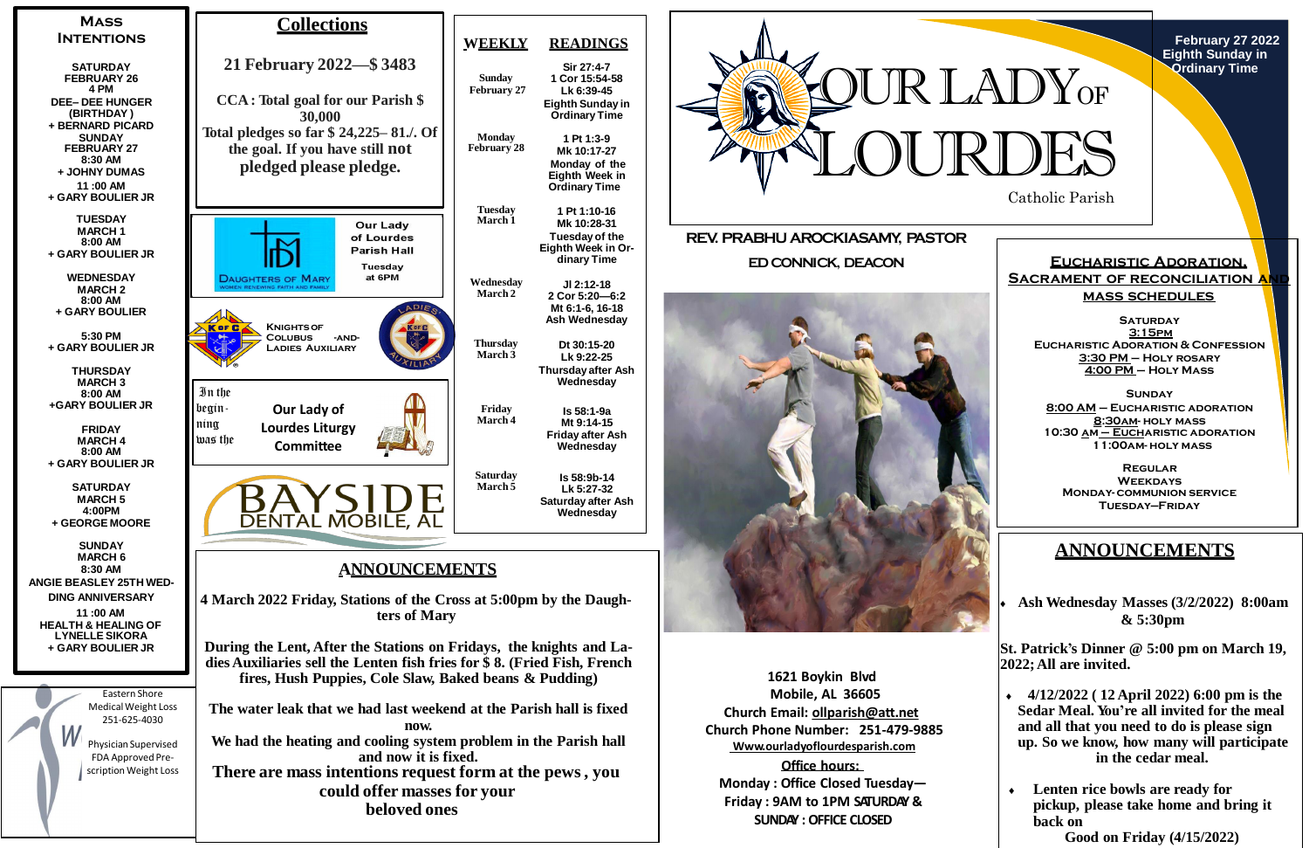

**February 27 2022 Eighth Sunday in Ordinary Time**

**1621 Boykin Blvd Mobile, AL 36605 Church Email: [ollparish@att.net](mailto:ollparish@att.net) Church Phone Number: 251-479-9885 Www.ourladyoflourdesparish.com**

**Office hours: Monday : Office Closed Tuesday— Friday : 9AM to 1PM SATURDAY & SUNDAY : OFFICE CLOSED**



**Sir 27:4-7**



**Lk 6:39-45**

**1 Pt 1:3-9 Mk 10:17-27**

**1 Pt 1:10-16 Mk 10:28-31**

**Jl 2:12-18**

**SATURDAY 3:15pm Eucharistic Adoration & Confession 3:30 PM – Holy rosary 4:00 PM – Holy Mass**

**Dt 30:15-20 Lk 9:22-25**

**Wednesday**

**Is 58:1-9a Mt 9:14-15**

**Wednesday**

**Is 58:9b-14 Lk 5:27-32**

**Wednesday**

## **ANNOUNCEMENTS**

 **Ash Wednesday Masses (3/2/2022) 8:00am & 5:30pm**

**St. Patrick's Dinner @ 5:00 pm on March 19, 2022;All are invited.**

- **4/12/2022 ( 12 April 2022) 6:00 pm is the Sedar Meal. You're all invited for the meal and all that you need to do is please sign up. So we know, how many will participate in the cedar meal.**
- **Lenten rice bowls are ready for pickup, please take home and bring it back on Good on Friday (4/15/2022)**

### **Eucharistic Adoration, SACRAMENT OF RECONCILIATION A mass schedules**

**Sunday 8:00 AM – Eucharistic adoration 8:30am- holy mass 10:30 am – Eucharistic adoration 11:00am- holy mass**

**Regular Weekdays Monday- communion service Tuesday—Friday**